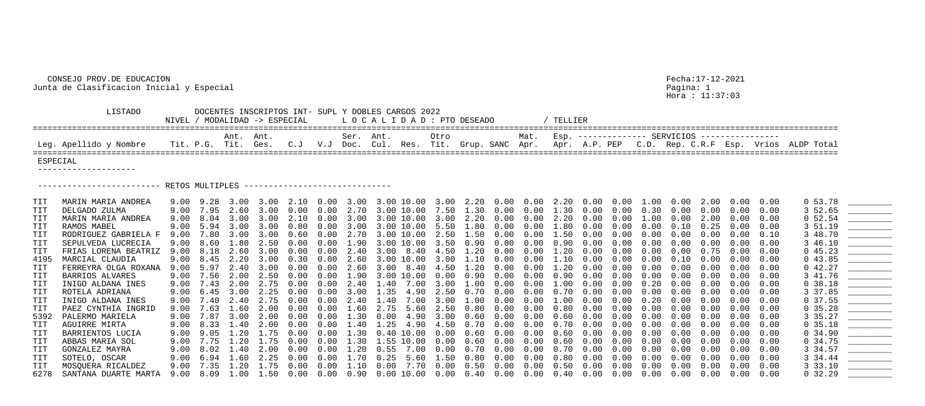## CONSEJO PROV.DE EDUCACION Fecha:17-12-2021 Junta de Clasificacion Inicial y Especial Pagina: 1

 LISTADO DOCENTES INSCRIPTOS INT- SUPL Y DOBLES CARGOS 2022  $NIVEL$  / MODALIDAD -> ESPECIAL  $L$  O C A L I D A D : PTO ==================================================================================================================================================================== Ant. Ant. Ser. Ant. Otro Mat. Esp. -------------- SERVICIOS ---------------- Leg. Apellido y Nombre Tit. P.G. Tit. Ges. C.J V.J Doc. Cul. Res. Tit. ==================================================================================================================================================================== ESPECIAL -------------------- ----------------------- RETOS MULTIPLES -------------------------------TIT FRIAS LORENA BEATRIZ 9.00 8.18 2.60 3.00 0.00 0.00 2.40 3.00 8.40 4.50<br>4195 MARCIAL CLAUDIA 9.00 8.45 2.20 3.00 0.30 0.00 2.60 3.00 10.00 3.00 6278 SANTANA DUARTE MARTA 9.00 8.09 1.00 1.50 0.00 0.00 0.90 0.00 10.00 0.00

Hora : 11:37:03

| DESEADO<br>and the control of the control of the control of the control of the control of the control of the control of t<br>The control of the control of the control of the control of the control of the control of the control of the c |  |                                                   |  |  |
|---------------------------------------------------------------------------------------------------------------------------------------------------------------------------------------------------------------------------------------------|--|---------------------------------------------------|--|--|
| Grup. SANC Apr. Apr. A.P. PEP C.D. Rep. C.R.F Esp. Vrios ALDP Total                                                                                                                                                                         |  | Mat. Esp. ------------- SERVICIOS --------------- |  |  |

|                | MARIN MARIA ANDREA        |      |                          |           |                |            |                   |      |                                                               |      |                   |      |                   |                   |                      |            |            |            |            |            |                   |      | 0, 53.78 |                                 |
|----------------|---------------------------|------|--------------------------|-----------|----------------|------------|-------------------|------|---------------------------------------------------------------|------|-------------------|------|-------------------|-------------------|----------------------|------------|------------|------------|------------|------------|-------------------|------|----------|---------------------------------|
|                | DELGADO ZULMA             |      | 9.00 7.95                | 2.60      | 3.00           | $0\,.\,00$ | $0.00$ $2.70$     |      | 3.00 10.00                                                    |      | 7.50 1.30         |      | $0\,.\,00$        | $0.00 \quad 1.30$ |                      | $0\,.\,00$ | 0.00       | 0.30       | 0.00       | 0.00       | $0\,.\,00$        | 0.00 | 3 52.65  |                                 |
| TIT            | MARIN MARIA ANDREA        |      | $9.00 \quad 8.04$        | 3.00      | 3.00           | 2.10       | $0.00$ 3.00       |      | 3.00 10.00                                                    |      | 3.00 2.20         |      | $0\,.\,00$        | 0.00              | 2.20                 | 0.00       | 0.00       | .00        | 0.00       | 2.00       | 0.00              | 0.00 | 0, 52.54 |                                 |
|                | RAMOS MABEL               |      | 9.00 5.94                | 3.00      | 3.00           | $0\,.80$   | $0.00$ 3.00       |      | 3.00 10.00                                                    |      | 5.50 1.80         |      | 0.00              | $0\,.\,00$        | 1.80                 | 0.00       | 0.00       | $0\,.\,00$ | $0\,.10$   | 0.25       | $0\,.\,00$        | 0.00 | 3 51.19  |                                 |
| TIT            | RODRIGUEZ GABRIELA F      |      | 9.00 7.80                |           | 3.00 3.00      | 0.60       |                   |      | $0.00$ 2.70 3.00 10.00 2.50 1.50                              |      |                   |      | 0.00              | $0.00 \quad 1.50$ |                      | 0.00       | $0\,.\,00$ | $0\,.\,00$ | $0\,.\,00$ | 0.00       | 0.00              | 0.10 | 3 48.70  |                                 |
|                | SEPULVEDA LUCRECIA        |      | 9.00 8.60 1.80 2.50 0.00 |           |                |            |                   |      | $0.00$ 1.90 3.00 10.00 3.50 0.90 0.00                         |      |                   |      |                   |                   | $0.00$ $0.90$ $0.00$ |            | 0.00       | $0\,.\,00$ | 0.00       | 0.00       | 0.00              | 0.00 | 3 46.10  |                                 |
|                | FRIAS LORENA BEATRIZ      |      | 9.00 8.18                | 2.60      | 3.00           | $0\,.\,00$ | $0.00 \quad 2.40$ |      | $3.00$ $8.40$                                                 |      | $4.50$ $1.20$     |      | 0.00              | 0.00              | $1\ldotp20$          | 0.00       | 0.00       | 0.00       | 0.00       | 0.75       | 0.00              | 0.00 | 045.23   |                                 |
| 4195           | MARCIAL CLAUDIA           |      | $9.00 \quad 8.45$        |           |                |            |                   |      | 2.20 3.00 0.30 0.00 2.60 3.00 10.00 3.00 1.10                 |      |                   |      | 0.00              | $0.00$ $1.10$     |                      | 0.00       | 0.00       | $0\,.\,00$ | 0.10       | 0.00       | 0.00              | 0.00 | 043.85   |                                 |
| TIT            | FERREYRA OLGA ROXANA      |      | 9.00 5.97                |           | 2.40 3.00 0.00 |            | $0.00$ 2.60       |      | 3.00 8.40                                                     |      | 4.50 1.20         |      | $0\,.\,00$        |                   | $0.00$ $1.20$ $0.00$ |            | $0\,.\,00$ | $0\,.\,00$ | 0.00       | $0\,.\,00$ | $0.00 \quad 0.00$ |      | 042.27   |                                 |
| TIT            | BARRIOS ALVARES           |      | 9.00 7.56                |           | 2.00 2.50      | 0.00       |                   |      | $0.00 \quad 1.90 \quad 3.00 \quad 10.00$                      |      | $0.00$ 0.90       |      | 0.00              | 0.00              | 0.90                 | 0.00       | 0.00       | 0.00       | 0.00       | 0.00       | 0.00              | 0.00 | 3 41.76  |                                 |
| TIT            | INIGO ALDANA INES         |      | 9.00 7.43 2.00 2.75      |           |                | 0.00       |                   |      | $0.00 \quad 2.40 \quad 1.40 \quad 7.00$                       |      | $3.00$ $1.00$     |      | 0.00              |                   | $0.00$ $1.00$ $0.00$ |            | 0.00       | $0\,.\,20$ | 0.00       | 0.00       | $0\,.\,00$        | 0.00 | 0, 38.18 |                                 |
|                | ROTELA ADRIANA            |      | $9.00 \quad 6.45$        |           | $3.00$ 2.25    | $0\,.\,00$ |                   |      | $0.00$ 3.00 1.35 4.90                                         |      | 2.50 0.70         |      | $0\,.\,00$        | $0\,.\,00$        | $0\,.\,70$           | $0\,.\,00$ | 0.00       | 0.00       | 0.00       | 0.00       | $0\,.\,00$        | 0.00 | 3 37.85  |                                 |
| TIT            | INIGO ALDANA INES         |      | 9.00 7.40                |           | 2.40 2.75      | 0.00       | $0.00 \quad 2.40$ |      | 1.40 7.00                                                     |      | $3.00$ $1.00$     |      | $0\,.\,00$        | 0.00              | 1.00                 | 0.00       | 0.00       | 0.20       | 0.00       | 0.00       | 0.00              | 0.00 | 0, 37.55 |                                 |
| $\mathtt{TIT}$ | PAEZ CYNTHIA INGRID       |      | 9.00 7.63 1.60           |           | 2.00           | $0\,.\,00$ | $0.00 \quad 1.60$ |      | 2.75 5.60                                                     |      | 2.50 0.80         |      | $0\,.\,00$        | $0\,.\,00$        | $0\,.80$             | $0\,.\,00$ | 0.00       | 0.00       | 0.00       | 0.00       | 0.00              | 0.00 | 0, 35.28 |                                 |
| 5392           | PALERMO MARIELA           |      | $9.00$ 7.87              |           | 3.00 2.00      | $0\,.\,00$ |                   |      | $0.00 \quad 1.30 \quad 0.00 \quad 4.90 \quad 3.00 \quad 0.60$ |      |                   |      | 0.00              | $0\,.\,00$        | 0.60                 | 0.00       | 0.00       | 0.00       | 0.00       | 0.00       | 0.00              | 0.00 | 3 35.27  |                                 |
| TIT            | AGUIRRE MIRTA             |      | 9.00 8.33 1.40 2.00 0.00 |           |                |            |                   |      | $0.00$ 1.40 1.25 4.90 4.50 0.70 0.00                          |      |                   |      |                   | $0\,.\,00$        | $0.70\quad 0.00$     |            | 0.00       | $0\,.\,00$ | $0\,.\,00$ | 0.00       | $0\,.\,00$        | 0.00 | 0, 35.18 | <u>________________________</u> |
|                | BARRIENTOS LUCIA          |      | $9.00$ $9.05$            | 1.20 1.75 |                | 0.00       |                   |      | $0.00 \quad 1.30 \quad 0.40 \quad 10.00$                      |      | $0.00$ $0.60$     |      | 0.00              | 0.00              | 0.60                 | $0\,.\,00$ | 0.00       | 0.00       | 0.00       | 0.00       | 0.00              | 0.00 | 0, 34.90 |                                 |
| TIT            | ABBAS MARIA SOL           |      | 9.00 7.75                |           | 1.20 1.75      | 0.00       |                   |      | $0.00$ 1.30 1.55 10.00                                        |      | $0.00 \quad 0.60$ |      | $0\,.\,00$        | $0\,.\,00$        | $0\,.\,60$           | 0.00       | 0.00       | $0\,.\,00$ | 0.00       | 0.00       | 0.00              | 0.00 | 0, 34.75 |                                 |
| $\mathtt{TIT}$ | GONZALEZ MAYRA            |      | 9.00 8.02 1.40 2.00      |           |                | $0\,.\,00$ | $0.00 \quad 1.20$ |      | $0.55$ $7.00$                                                 |      | $0.00\quad 0.70$  |      | $0\,.\,00$        | $0\,.\,00$        | $0\,.\,70$           | $0\,.\,00$ | 0.00       | $0\,.\,00$ | 0.00       | 0.00       | 0.00              | 0.00 | 3 34.57  |                                 |
|                | SOTELO, OSCAR             | 9.00 | 6.94                     | 1.60      | 2.25           | $0\,.\,00$ | $0.00 \quad 1.70$ |      | 0.25                                                          | 5.60 | 1.50              | 0.80 | 0.00              | 0.00              | 0.80                 | 0.00       | 0.00       | 0.00       | 0.00       | 0.00       | 0.00              | 0.00 | 3 34.44  |                                 |
| TIT            | MOSQUERA RICALDEZ         |      | 9.00 7.35                |           | 1.20 1.75      | 0.00       | 0.00              | 1.10 | $0\,.\,00$                                                    | 7.70 | 0.00              | 0.50 | $0\,.\,00$        | 0.00              | 0.50                 | 0.00       | 0.00       | 0.00       | 0.00       | 0.00       | 0.00              | 0.00 | 33.10    |                                 |
|                | 6278 SANTANA DUARTE MARTA |      | $9.00 \quad 8.09$        |           | 1.00 1.50      | $0\,.\,00$ |                   |      | $0.00 \quad 0.90 \quad 0.00 \quad 10.00$                      |      | $0.00 \quad 0.40$ |      | $0.00 \quad 0.00$ |                   | $0.40\quad 0.00$     |            | 0.00       | 0.00       | 0.00       | $0\,.\,00$ | $0\,.\,00$        | 0.00 | 0, 32.29 |                                 |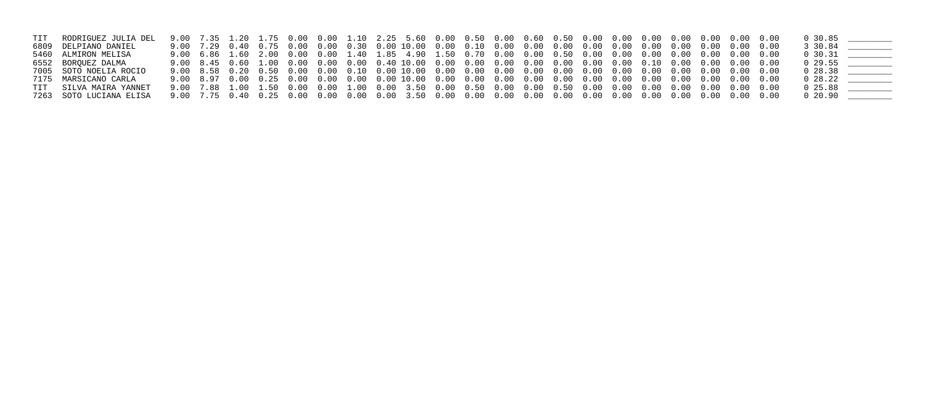| TIT RODRIGUEZ JULIA DEL |  |  |  |  |  |  |  |  |  |  | $0\,30.85$     |  |
|-------------------------|--|--|--|--|--|--|--|--|--|--|----------------|--|
| 6809 DELPIANO DANIEL    |  |  |  |  |  |  |  |  |  |  | 3 30.84        |  |
| 5460 ALMIRON MELISA     |  |  |  |  |  |  |  |  |  |  | $0\,30.31$     |  |
| 6552 BORQUEZ DALMA      |  |  |  |  |  |  |  |  |  |  | $0\quad 29.55$ |  |
| 7005 SOTO NOELIA ROCIO  |  |  |  |  |  |  |  |  |  |  | $0\;\; 28.38$  |  |
| 7175 MARSICANO CARLA    |  |  |  |  |  |  |  |  |  |  | $0\;\; 28.22$  |  |
| TIT SILVA MAIRA YANNET  |  |  |  |  |  |  |  |  |  |  | $0\;25.88$     |  |
| 7263 SOTO LUCIANA ELISA |  |  |  |  |  |  |  |  |  |  | $0\;\; 20.90$  |  |